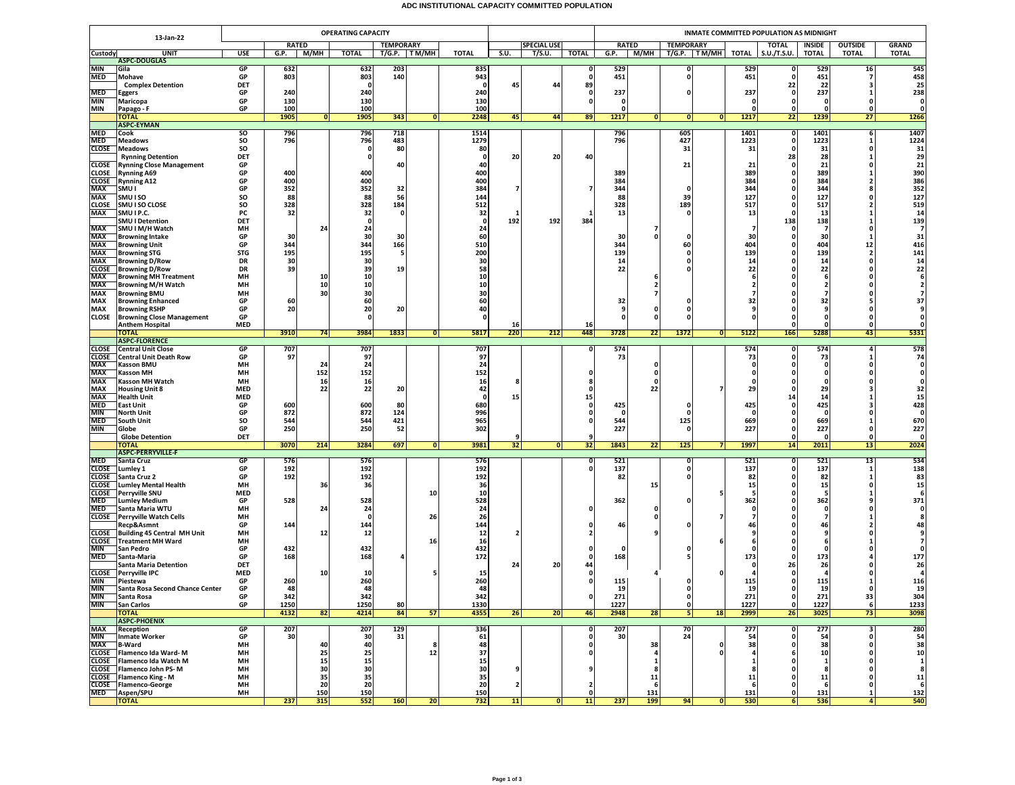## **ADC INSTITUTIONAL CAPACITY COMMITTED POPULATION**

|                          |                                                         | <b>OPERATING CAPACITY</b> |              |           |                    |            |                 |              |                         |                    |               | INMATE COMMITTED POPULATION AS MIDNIGHT |                          |                       |              |                         |                               |                      |                                |  |  |
|--------------------------|---------------------------------------------------------|---------------------------|--------------|-----------|--------------------|------------|-----------------|--------------|-------------------------|--------------------|---------------|-----------------------------------------|--------------------------|-----------------------|--------------|-------------------------|-------------------------------|----------------------|--------------------------------|--|--|
| 13-Jan-22                |                                                         |                           | <b>RATED</b> |           | <b>TEMPORARY</b>   |            |                 |              |                         | <b>SPECIAL USE</b> |               |                                         | <b>RATED</b>             | <b>TEMPORARY</b>      |              | <b>TOTAL</b>            | <b>OUTSIDE</b><br>INSIDE      |                      | <b>GRAND</b>                   |  |  |
| Custody                  | <b>UNIT</b>                                             | USE                       | G.P.         | М/МН      | <b>TOTAL</b>       |            | T/G.P. TM/MH    | TOTAL        | S.U.                    | T/S.U.             | <b>TOTAL</b>  | G.P.                                    | M/MH                     | T/G.P.   TM/MH        | TOTAL        | S.U./T.S.U.             | <b>TOTAL</b>                  | <b>TOTAL</b>         | <b>TOTAL</b>                   |  |  |
| MIN                      | <b>ASPC-DOUGLAS</b><br>Gila                             | GP                        | 632          |           | 632                | 203        |                 | 835          |                         |                    | 0             | 529                                     |                          | 0                     | 529          |                         | 529                           | 16                   | 545                            |  |  |
| MED                      | Mohave                                                  | GP                        | 803          |           | 803                | 140        |                 | 943          |                         |                    | 0             | 451                                     |                          | $\mathbf{0}$          | 451          |                         | 451                           | 7                    | 458                            |  |  |
|                          | <b>Complex Detention</b>                                | DET                       |              |           | - 0                |            |                 | - 0          | 45                      | 44                 | 89            |                                         |                          |                       |              | 22                      | 22                            | ٦                    | 25                             |  |  |
| MED                      | Eggers                                                  | GP<br>GP                  | 240<br>130   |           | 240                |            |                 | 240          |                         |                    | 0<br>o        | 237<br>$\mathbf{0}$                     |                          | ŋ                     | 237          | n<br>$\Omega$           | 237                           |                      | 238<br>$\mathbf 0$             |  |  |
| MIN<br>MIN               | Maricopa<br>Papago - F                                  | GP                        | 100          |           | 130<br>100         |            |                 | 130<br>100   |                         |                    |               | 0                                       |                          |                       |              |                         |                               |                      |                                |  |  |
|                          | <b>TOTAL</b>                                            |                           | 1905         | 0         | 1905               | 343        | 0               | 2248         | 45                      | 44                 | 89            | 1217                                    | 0                        | 0 <br> 0              | 1217         | 22                      | 1239                          | 27                   | 1266                           |  |  |
|                          | <b>ASPC-EYMAN</b>                                       |                           |              |           |                    |            |                 |              |                         |                    |               |                                         |                          |                       |              |                         |                               |                      |                                |  |  |
| <b>MED</b><br><b>MED</b> | Cook<br><b>Meadows</b>                                  | so<br>SO                  | 796<br>796   |           | 796<br>796         | 718<br>483 |                 | 1514<br>1279 |                         |                    |               | 796<br>796                              |                          | 605<br>427            | 1401<br>1223 | $\mathbf o$<br>$\Omega$ | 1401<br>1223                  | 6<br>-1              | 1407<br>1224                   |  |  |
| CLOSE                    | <b>Meadows</b>                                          | SO                        |              |           | 0                  | 80         |                 | 80           |                         |                    |               |                                         |                          | 31                    | 31           | - 0                     | 31                            | 0                    | 31                             |  |  |
|                          | <b>Rynning Detention</b>                                | DET                       |              |           | 0                  |            |                 | -0           | 20                      | 20                 | 40            |                                         |                          |                       |              | 28                      | 28                            |                      | 29                             |  |  |
| CLOSE<br>CLOSE           | <b>Rynning Close Management</b><br><b>Rynning A69</b>   | GP<br>GP                  | 400          |           | 400                | 40         |                 | 40<br>400    |                         |                    |               | 389                                     |                          | 21                    | 21<br>389    |                         | 21<br>389                     | $\Omega$<br>-1       | 21<br>390                      |  |  |
| <b>CLOSE</b>             | <b>Rynning A12</b>                                      | GP                        | 400          |           | 400                |            |                 | 400          |                         |                    |               | 384                                     |                          |                       | 384          |                         | 384                           | 2                    | 386                            |  |  |
| MAX                      | SMU I                                                   | GP                        | 352          |           | 352                | 32         |                 | 384          |                         |                    | 7             | 344                                     |                          | $\Omega$              | 344          | n                       | 344                           |                      | 352                            |  |  |
| MAX<br><b>CLOSE</b>      | SMU I SO<br>SMU I SO CLOSE                              | SO<br>SO                  | 88<br>328    |           | 88<br>328          | 56<br>184  |                 | 144<br>512   |                         |                    |               | 88<br>328                               |                          | 39<br>189             | 127<br>517   | 0                       | 127<br>517                    |                      | 127<br>519                     |  |  |
| <b>MAX</b>               | SMU I P.C.                                              | PC                        | 32           |           | 32                 | $\Omega$   |                 | 32           | 1                       |                    |               | 13                                      |                          | 0                     | 13           | 0                       | 13                            |                      | 14                             |  |  |
|                          | <b>SMU I Detention</b>                                  | DET                       |              |           | $\mathbf 0$        |            |                 | 0            | 192                     | 192                | 384           |                                         |                          |                       |              | 138                     | 138                           |                      | 139                            |  |  |
| <b>MAX</b>               | SMU I M/H Watch                                         | MH                        |              | 24        | 24                 |            |                 | 24           |                         |                    |               |                                         | 7                        |                       |              |                         | $\overline{7}$                | $\Omega$             | $\overline{7}$                 |  |  |
| MAX<br>MAX               | <b>Browning Intake</b><br><b>Browning Unit</b>          | GP<br>GP                  | 30<br>344    |           | 30<br>344          | 30<br>166  |                 | 60<br>510    |                         |                    |               | 30<br>344                               | $\Omega$                 | $\Omega$<br>60        | 30<br>404    | $\Omega$                | 30<br>404                     | -1<br>12             | 31<br>416                      |  |  |
| MAX                      | <b>Browning STG</b>                                     | <b>STG</b>                | 195          |           | 195                | -5         |                 | 200          |                         |                    |               | 139                                     |                          | 0                     | 139          |                         | 139                           | $\overline{2}$       | 141                            |  |  |
| MAX                      | <b>Browning D/Row</b>                                   | DR                        | 30           |           | 30                 |            |                 | 30           |                         |                    |               | 14                                      |                          | 0                     | 14           |                         | 14                            |                      | 14                             |  |  |
| <b>CLOSE</b><br>MAX      | <b>Browning D/Row</b><br><b>Browning MH Treatment</b>   | <b>DR</b><br>MH           | 39           | 10        | 39<br>10           | 19         |                 | 58<br>10     |                         |                    |               | 22                                      |                          |                       | 22           |                         | 22<br>-6                      | $\Omega$             | 22                             |  |  |
| MAX                      | <b>Browning M/H Watch</b>                               | MH                        |              | 10        | 10                 |            |                 | 10           |                         |                    |               |                                         | $\overline{\mathbf{2}}$  |                       |              |                         | ,                             |                      |                                |  |  |
| MAX                      | <b>Browning BMU</b>                                     | MH                        |              | 30        | 30                 |            |                 | 30           |                         |                    |               |                                         | $\overline{ }$           |                       |              |                         | 7                             |                      |                                |  |  |
| MAX                      | <b>Browning Enhanced</b><br><b>Browning RSHP</b>        | GP                        | 60           |           | 60                 |            |                 | 60           |                         |                    |               | 32                                      |                          |                       | 32           |                         | 32                            |                      | 37                             |  |  |
| MAX<br>CLOSE             | <b>Browning Close Management</b>                        | GP<br>GP                  | 20           |           | 20<br>$\Omega$     | 20         |                 | 40<br>O      |                         |                    |               | 9<br>$\Omega$                           | 0<br>$\Omega$            | 0<br>0                |              |                         | 9                             | 0<br>$\mathbf{0}$    |                                |  |  |
|                          | <b>Anthem Hospital</b>                                  | <b>MED</b>                |              |           |                    |            |                 |              | 16                      |                    | 16            |                                         |                          |                       |              |                         | $\Omega$                      | $\mathbf{0}$         |                                |  |  |
|                          | <b>TOTAL</b><br><b>ASPC-FLORENCE</b>                    |                           | 3910         | 74        | 3984               | 1833       | 0               | 5817         | 220                     | 212                | 448           | 3728                                    | 22                       | 1372<br> 0            | 5122         | 166                     | 5288                          | 43                   | 5331                           |  |  |
| <b>CLOSE</b>             | <b>Central Unit Close</b>                               | <b>GP</b>                 | 707          |           | 707                |            |                 | 707          |                         |                    | 0             | 574                                     |                          |                       | 574          | 0                       | 574                           | 4                    | 578                            |  |  |
| <b>CLOSE</b>             | Central Unit Death Row                                  | GP                        | 97           |           | 97                 |            |                 | 97           |                         |                    |               | 73                                      |                          |                       | 73           | 0                       | 73                            |                      | 74                             |  |  |
| MAX                      | <b>Kasson BMU</b>                                       | MH                        |              | 24        | 24                 |            |                 | 24           |                         |                    |               |                                         | 0                        |                       |              |                         | 0                             |                      | $\mathbf{0}$                   |  |  |
| MAX<br>MAX               | <b>Kasson MH</b><br><b>Kasson MH Watch</b>              | MH<br>MH                  |              | 152<br>16 | 152<br>16          |            |                 | 152<br>16    |                         |                    | 0             |                                         | $\mathbf{0}$<br>$\Omega$ |                       |              |                         | $\Omega$                      | $\Omega$             |                                |  |  |
| MAX                      | <b>Housing Unit 8</b>                                   | <b>MED</b>                |              | 22        | 22                 | 20         |                 | 42           |                         |                    | n             |                                         | 22                       |                       | 29           | n                       | 29                            |                      | 32                             |  |  |
| <b>MAX</b>               | <b>Health Unit</b>                                      | <b>MED</b>                |              |           |                    |            |                 | -0           | 15                      |                    | 15            |                                         |                          |                       |              | 14                      | 14                            |                      | 15                             |  |  |
| <b>MED</b><br><b>MIN</b> | <b>East Unit</b><br><b>North Unit</b>                   | GP<br>GP                  | 600<br>872   |           | 600<br>872         | 80<br>124  |                 | 680<br>996   |                         |                    | 0<br>0        | 425<br>0                                |                          | 0<br>0                | 425          |                         | 425<br>0                      |                      | 428<br>$\mathbf 0$             |  |  |
| <b>MED</b>               | South Unit                                              | SO                        | 544          |           | 544                | 421        |                 | 965          |                         |                    | 0             | 544                                     |                          | 125                   | 669          |                         | 669                           |                      | 670                            |  |  |
| MIN                      | Globe                                                   | GP                        | 250          |           | 250                | 52         |                 | 302          |                         |                    |               | 227                                     |                          | $\mathbf{0}$          | 227          | n                       | 227                           | $\Omega$             | 227                            |  |  |
|                          | <b>Globe Detention</b>                                  | DET                       | 3070         | 214       | 3284               | 697        |                 | 3981         | 9<br>32                 |                    | 9<br>32       | 1843                                    | 22                       | 125<br>7 <sup>1</sup> | 1997         | $\Omega$                | $\Omega$<br>2011              | $\Omega$             | $\mathbf{0}$<br>2024           |  |  |
|                          | ΌΤΑΙ<br><b>ASPC-PERRYVILLE-F</b>                        |                           |              |           |                    |            | 0               |              |                         | 0                  |               |                                         |                          |                       |              | 14                      |                               | 13                   |                                |  |  |
| MED                      | Santa Cruz                                              | GP                        | 576          |           | 576                |            |                 | 576          |                         |                    | 0             | 521                                     |                          | $\mathbf{0}$          | 521          | 0                       | 521                           | 13                   | 534                            |  |  |
| CLOSE<br>CLOSE           | Lumley 1                                                | GP<br>GP                  | 192<br>192   |           | 192                |            |                 | 192<br>192   |                         |                    | o             | 137                                     |                          | 0<br>0                | 137<br>82    |                         | 137                           | -1<br>1              | 138<br>83                      |  |  |
| <b>CLOSE</b>             | Santa Cruz 2<br><b>Lumley Mental Health</b>             | MH                        |              | 36        | 192<br>36          |            |                 | 36           |                         |                    |               | 82                                      | 15                       |                       | 15           |                         | 82<br>15                      | $\Omega$             | 15                             |  |  |
| CLOSE                    | <b>Perryville SNU</b>                                   | <b>MED</b>                |              |           |                    |            | 10              | 10           |                         |                    |               |                                         |                          |                       |              |                         |                               |                      | 6                              |  |  |
| MED                      | <b>Lumley Medium</b>                                    | GP                        | 528          |           | 528                |            |                 | 528          |                         |                    |               | 362                                     |                          |                       | 362          |                         | 362                           |                      | 371                            |  |  |
| <b>MED</b>               | Santa Maria WTU<br><b>CLOSE</b> Perryville Watch Cells  | MH<br>MH                  |              | 24        | 24<br>$\mathbf{0}$ |            | 26              | 24<br>26     |                         |                    | o             |                                         | 0<br>$\mathbf{0}$        |                       |              |                         | 0<br>$\overline{\phantom{a}}$ |                      | $\mathbf{0}$                   |  |  |
|                          | Recp&Asmnt                                              | GP                        | 144          |           | 144                |            |                 | 144          |                         |                    | 0             | 46                                      |                          |                       | 46           |                         | 46                            |                      | 48                             |  |  |
| <b>CLOSE</b>             | Building 45 Central MH Unit                             | MН                        |              | 12        | 12                 |            |                 | 12           |                         |                    |               |                                         |                          |                       |              |                         |                               |                      |                                |  |  |
| <b>MIN</b>               | <b>CLOSE</b> Treatment MH Ward<br>San Pedro             | MH<br>GP                  | 432          |           | 432                |            | 16              | 16<br>432    |                         |                    |               | $\Omega$                                |                          |                       |              |                         | n                             |                      | $\overline{z}$<br>$\mathbf{o}$ |  |  |
| MED                      | Santa-Maria                                             | GP                        | 168          |           | 168                |            |                 | 172          |                         |                    | 0             | 168                                     |                          |                       | 173          |                         | 173                           |                      | 177                            |  |  |
|                          | <b>Santa Maria Detention</b>                            | DET                       |              |           |                    |            |                 |              | 24                      | 20                 | 44            |                                         |                          |                       |              | 26                      | 26                            |                      | 26                             |  |  |
| MIN                      | <b>CLOSE</b> Perryville IPC<br>Piestewa                 | <b>MED</b><br>GP          | 260          | 10        | 10<br>260          |            |                 | 15<br>260    |                         |                    | 0<br>$\Omega$ | 115                                     |                          | 0                     | 115          |                         | -4<br>115                     |                      | 116                            |  |  |
| MIN                      | Santa Rosa Second Chance Center                         | GP                        | 48           |           | 48                 |            |                 | 48           |                         |                    |               | 19                                      |                          | $\mathbf{0}$          | 19           | 0                       | 19                            | 0                    | 19                             |  |  |
| MIN                      | Santa Rosa                                              | GP                        | 342          |           | 342                |            |                 | 342          |                         |                    |               | 271                                     |                          | $\mathbf{0}$          | 271          |                         | 271                           | 33                   | 304                            |  |  |
| MIN                      | <b>San Carlos</b>                                       | GP                        | 1250         |           | 1250               | 80         |                 | 1330         |                         |                    |               | 1227                                    |                          | $\mathbf{0}$          | 1227         | $\mathbf{0}$            | 1227<br>3025                  | 6                    | 1233                           |  |  |
|                          | <b>TOTAL</b><br><b>ASPC-PHOENIX</b>                     |                           | 4132         | 82        | 4214               | 84         | 57              | 4355         | 26                      | 20                 | 46            | 2948                                    | 28                       | 5 <sub>1</sub><br>18  | 2999         | 26                      |                               | 73                   | 3098                           |  |  |
| MAX                      | Reception                                               | GP                        | 207          |           | 207                | 129        |                 | 336          |                         |                    | o             | 207                                     |                          | 70                    | 277          |                         | 277                           | з                    | 280                            |  |  |
| MIN                      | <b>Inmate Worker</b>                                    | GP                        | 30           |           | 30                 | 31         |                 | 61           |                         |                    | o             | 30                                      |                          | 24                    | 54           |                         | 54                            | 0                    | 54                             |  |  |
| <b>MAX</b>               | <b>B-Ward</b><br>CLOSE Flamenco Ida Ward-M              | MH<br>MH                  |              | 40<br>25  | 40<br>25           |            | 8<br>12         | 48<br>37     |                         |                    | 0<br>0        |                                         | 38<br>4                  | 0                     | 38           | 0<br>6                  | 38<br>10                      | $\mathbf 0$          | 38<br>10                       |  |  |
|                          | <b>CLOSE</b> Flamenco Ida Watch M                       | MH                        |              | 15        | 15                 |            |                 | 15           |                         |                    |               |                                         | $\mathbf{1}$             |                       |              |                         |                               |                      | $\mathbf{1}$                   |  |  |
|                          | CLOSE Flamenco John PS-M                                | MH                        |              | 30        | 30                 |            |                 | 30           | 9                       |                    | 9             |                                         | 8                        |                       |              |                         | я                             | $\Omega$             | 8                              |  |  |
|                          | CLOSE Flamenco King - M<br><b>CLOSE</b> Flamenco-George | MH<br>MH                  |              | 35<br>20  | 35<br>20           |            |                 | 35<br>20     | $\overline{\mathbf{2}}$ |                    | 2             |                                         | 11<br>6                  |                       | 11<br>-6     | n<br>n                  | 11<br>-6                      | $\Omega$<br>$\Omega$ | 11<br>6                        |  |  |
| MED                      | Aspen/SPU                                               | MH                        |              | 150       | 150                |            |                 | 150          |                         |                    | o             |                                         | 131                      |                       | 131          | $\Omega$                | 131                           | $\mathbf{1}$         | 132                            |  |  |
|                          | <b>TOTAL</b>                                            |                           | 237          | 315       | 552                | 160        | 20 <sup>1</sup> | 732          | 11                      | $\overline{0}$     | 11            | 237                                     | 199                      | 94<br>$\overline{0}$  | 530          | 61                      | 536                           | 4 <sup>1</sup>       | 540                            |  |  |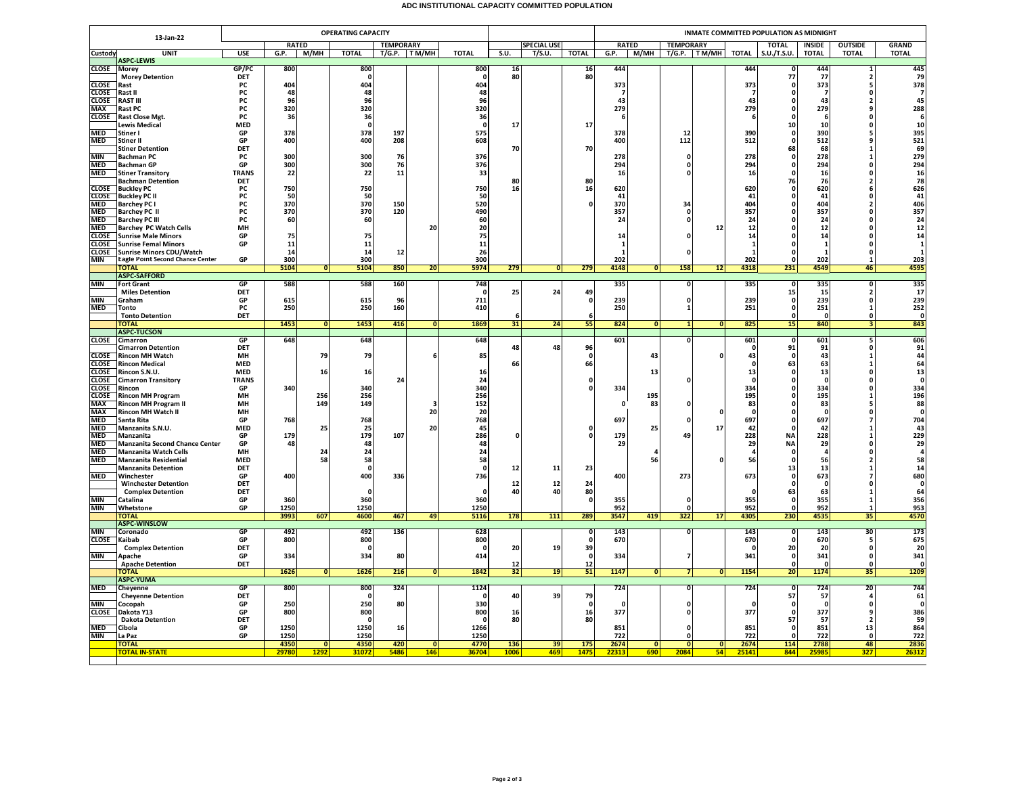## **ADC INSTITUTIONAL CAPACITY COMMITTED POPULATION**

|                              | 13-Jan-22                                                      | <b>OPERATING CAPACITY</b> |              |                |                    |                  |                 |                    |                    |        |                 | INMATE COMMITTED POPULATION AS MIDNIGHT |                |                                             |                |              |                         |                      |                                      |                                          |  |
|------------------------------|----------------------------------------------------------------|---------------------------|--------------|----------------|--------------------|------------------|-----------------|--------------------|--------------------|--------|-----------------|-----------------------------------------|----------------|---------------------------------------------|----------------|--------------|-------------------------|----------------------|--------------------------------------|------------------------------------------|--|
|                              |                                                                |                           |              | <b>RATED</b>   |                    | <b>TEMPORARY</b> |                 |                    | <b>SPECIAL USE</b> |        |                 |                                         | <b>RATED</b>   | <b>TEMPORARY</b><br>M/MH T/G.P. TM/MH TOTAL |                |              | <b>TOTAL</b>            | <b>INSIDE</b>        | <b>OUTSIDE</b>                       | <b>GRAND</b>                             |  |
| Custody                      | <b>UNIT</b><br><b>ASPC-LEWIS</b>                               | <b>USE</b>                | G.P.         | M/MH           | <b>TOTAL</b>       | T/G.P. TM/MH     |                 | <b>TOTAL</b>       | S.U.               | T/S.U. | <b>TOTAL</b>    | G.P.                                    |                |                                             |                |              | S.U./T.S.U.             | <b>TOTAL</b>         | <b>TOTAL</b>                         | <b>TOTAL</b>                             |  |
| <b>CLOSE</b>                 | Morey                                                          | GP/PC                     | 800          |                | 800                |                  |                 | 800                | 16                 |        | $\frac{16}{80}$ | 444                                     |                |                                             |                | 444          |                         | 444                  |                                      | 445                                      |  |
|                              | <b>Morey Detention</b>                                         | DET<br><b>PC</b>          | 404          |                | $\Omega$<br>404    |                  |                 |                    | 80                 |        |                 |                                         |                |                                             |                |              | 77<br>n                 | 77                   | $\overline{2}$                       | 79<br>378                                |  |
| <b>CLOSE</b><br>CLOSE        | Rast<br>Rast II                                                | PC                        | 48           |                | 48                 |                  |                 | 404<br>48          |                    |        |                 | 373                                     |                |                                             |                | 373          | 0                       | 373                  |                                      | $\overline{7}$                           |  |
| <b>CLOSE</b>                 | <b>RAST III</b>                                                | PC                        | 96           |                | 96                 |                  |                 | 96                 |                    |        |                 | 43                                      |                |                                             |                | 43           |                         | 43                   |                                      | 45                                       |  |
| <b>MAX</b>                   | <b>Rast PC</b>                                                 | PC                        | 320          |                | 320                |                  |                 | 320                |                    |        |                 | 279                                     |                |                                             |                | 279          | 0                       | 279                  |                                      | 288                                      |  |
| <b>CLOSE</b>                 | Rast Close Mgt.<br><b>Lewis Medical</b>                        | <b>PC</b><br><b>MED</b>   | 36           |                | 36<br>$\mathbf{0}$ |                  |                 | 36<br>$\mathbf{0}$ | 17                 |        | 17              | -6                                      |                |                                             |                |              | $\Omega$<br>10          | -6<br>10             |                                      | 6<br>10                                  |  |
| <b>MED</b>                   | Stiner I                                                       | GP                        | 378          |                | 378                | 197              |                 | 575                |                    |        |                 | 378                                     |                | 12                                          |                | 390          | $\mathbf{0}$            | 390                  |                                      | 395                                      |  |
| <b>MED</b>                   | Stiner II                                                      | GP                        | 400          |                | 400                | 208              |                 | 608                |                    |        |                 | 400                                     |                | 112                                         |                | 512          | $\Omega$                | 512                  |                                      | 521                                      |  |
|                              | <b>Stiner Detention</b>                                        | DET                       |              |                |                    |                  |                 |                    | 70                 |        | 70              |                                         |                |                                             |                |              | 68                      | 68                   | -1                                   | 69                                       |  |
| <b>MIN</b><br><b>MED</b>     | Bachman PC<br><b>Bachman GP</b>                                | PC<br>GP                  | 300<br>300   |                | 300<br>300         | 76<br>76         |                 | 376<br>376         |                    |        |                 | 278<br>294                              |                | 0<br>$\mathbf{0}$                           |                | 278<br>294   | $\Omega$<br>0           | 278<br>294           |                                      | 279<br>294                               |  |
| <b>MED</b>                   | <b>Stiner Transitory</b>                                       | <b>TRANS</b>              | 22           |                | 22                 | 11               |                 | 33                 |                    |        |                 | 16                                      |                | $\Omega$                                    |                | 16           | $\Omega$                | 16                   |                                      | 16                                       |  |
|                              | <b>Bachman Detention</b>                                       | DET                       |              |                |                    |                  |                 |                    | 80                 |        | 80              |                                         |                |                                             |                |              | 76                      | 76                   |                                      | 78                                       |  |
| <b>CLOSE</b><br><b>CLOSE</b> | <b>Buckley PC</b><br>Buckley PC II                             | PC<br>PC                  | 750<br>50    |                | 750<br>50          |                  |                 | 750<br>50          | 16                 |        | 16              | 620<br>41                               |                |                                             |                | 620<br>41    | 0                       | 620<br>41            | $\Omega$                             | 626<br>41                                |  |
| MED                          | <b>Barchey PC I</b>                                            | PC                        | 370          |                | 370                | 150              |                 | 520                |                    |        |                 | 370                                     |                | 34                                          |                | 404          | 0                       | 404                  |                                      | 406                                      |  |
| <b>MED</b>                   | <b>Barchey PC II</b>                                           | PC                        | 370          |                | 370                | 120              |                 | 490                |                    |        |                 | 357                                     |                | $\mathbf{0}$                                |                | 357          | O                       | 357                  |                                      | 357                                      |  |
| <b>MED</b>                   | <b>Barchey PC III</b>                                          | <b>PC</b>                 | 60           |                | 60                 |                  |                 | 60                 |                    |        |                 | 24                                      |                | 0                                           |                | 24           | O                       | 24                   |                                      | 24                                       |  |
| <b>MED</b><br><b>CLOSE</b>   | <b>Barchey PC Watch Cells</b><br><b>Sunrise Male Minors</b>    | MH<br>GP                  | 75           |                | 75                 |                  | 20              | 20<br>75           |                    |        |                 | 14                                      |                |                                             | 12             | 12<br>14     | 0                       | 12<br>14             |                                      | 12<br>14                                 |  |
| <b>CLOSE</b>                 | <b>Sunrise Femal Minors</b>                                    | GP                        | 11           |                | 11                 |                  |                 | 11                 |                    |        |                 | $\mathbf{1}$                            |                |                                             |                | 1            | $\Omega$                | $\mathbf{1}$         | n                                    | $\mathbf{1}$                             |  |
| <b>CLOSE</b>                 | <b>Sunrise Minors CDU/Watch</b>                                |                           | 14           |                | 14                 | 12               |                 | 26                 |                    |        |                 | -1                                      |                | $\Omega$                                    |                | $\mathbf{1}$ |                         | -1                   | n                                    | $\mathbf{1}$                             |  |
| MIN                          | Eagle Point Second Chance Center<br><b>TOTAL</b>               | GP                        | 300<br>5104  | $\overline{0}$ | 300<br>5104        | 850              | 20 <sub>1</sub> | 300<br>5974        | 279                | 0      | 279             | 202<br>4148                             | 0              | 158                                         | 12             | 202<br>4318  | 231                     | 202<br>4549          | 46                                   | 203<br>4595                              |  |
|                              | <b>ASPC-SAFFORD</b>                                            |                           |              |                |                    |                  |                 |                    |                    |        |                 |                                         |                |                                             |                |              |                         |                      |                                      |                                          |  |
| <b>MIN</b>                   | <b>Fort Grant</b>                                              | GP                        | 588          |                | 588                | 160              |                 | 748                |                    |        |                 | 335                                     |                | 0                                           |                | 335          |                         | 335                  | 0                                    | 335                                      |  |
| <b>MIN</b>                   | <b>Miles Detention</b>                                         | DET                       | 615          |                | 615                |                  |                 | 711                | 25                 | 24     | 49<br>$\Omega$  | 239                                     |                | $\mathbf 0$                                 |                | 239          | 15<br>$\mathbf{0}$      | 15<br>239            | $\overline{\phantom{a}}$<br>$\Omega$ | 17<br>239                                |  |
| <b>MED</b>                   | Graham<br>Tonto                                                | GP<br>PC                  | 250          |                | 250                | 96<br>160        |                 | 410                |                    |        |                 | 250                                     |                | 1                                           |                | 251          | 0                       | 251                  | -1                                   | 252                                      |  |
|                              | <b>Tonto Detention</b>                                         | DET                       |              |                |                    |                  |                 |                    | -6                 |        |                 |                                         |                |                                             |                |              | $\Omega$                | $\Omega$             | $\Omega$                             | $\Omega$                                 |  |
|                              | <b>TOTAL</b>                                                   |                           | 1453         | $\overline{0}$ | 1453               | 416              | Ō               | 1869               | 31                 | 24     | 55              | 824                                     | 0              |                                             | 0              | 825          | 15                      | 840                  |                                      | 843                                      |  |
| <b>CLOSE</b>                 | <b>ASPC-TUCSON</b><br>Cimarron                                 | GP                        | 648          |                | 648                |                  |                 | 648                |                    |        |                 | 601                                     |                | $\Omega$                                    |                | 601          | 0                       | 601                  | 5                                    | 606                                      |  |
|                              | <b>Cimarron Detention</b>                                      | DET                       |              |                |                    |                  |                 |                    | 48                 | 48     | 96              |                                         |                |                                             |                |              | 91                      | 91                   |                                      | 91                                       |  |
| <b>CLOSE</b>                 | <b>Rincon MH Watch</b>                                         | MH                        |              | 79             | 79                 |                  |                 | 85                 |                    |        | $\mathbf{0}$    |                                         | 43             |                                             | 0              | 43           |                         | 43                   |                                      | 44                                       |  |
| <b>CLOSE</b>                 | <b>Rincon Medical</b>                                          | <b>MED</b><br><b>MED</b>  |              |                |                    |                  |                 |                    | 66                 |        | 66              |                                         |                |                                             |                | $\sqrt{2}$   | 63                      | 63                   |                                      | 64                                       |  |
| <b>CLOSE</b><br><b>CLOSE</b> | Rincon S.N.U.<br><b>Cimarron Transitory</b>                    | <b>TRANS</b>              |              | 16             | 16                 | 24               |                 | 16<br>24           |                    |        |                 |                                         | 13             |                                             |                | 13<br>n      | 0<br>$\Omega$           | 13<br>$\Omega$       | $\Omega$                             | 13<br>$\mathbf{0}$                       |  |
| <b>CLOSE</b>                 | Rincon                                                         | GP                        | 340          |                | 340                |                  |                 | 340                |                    |        |                 | 334                                     |                |                                             |                | 334          | 0                       | 334                  |                                      | 334                                      |  |
| <b>CLOSE</b>                 | Rincon MH Program                                              | MH                        |              | 256            | 256                |                  |                 | 256                |                    |        |                 |                                         | 195            |                                             |                | 195          | 0                       | 195                  |                                      | 196                                      |  |
| <b>MAX</b><br><b>MAX</b>     | Rincon MH Program II<br><b>Rincon MH Watch II</b>              | MH<br>MH                  |              | 149            | 149                |                  | 20              | 152<br>20          |                    |        |                 | $\Omega$                                | 83             |                                             | 0              | 83           | n                       | 83<br>$\mathbf{0}$   |                                      | 88<br>0                                  |  |
| <b>MED</b>                   | Santa Rita                                                     | GP                        | 768          |                | 768                |                  |                 | 768                |                    |        |                 | 697                                     |                |                                             |                | 697          | 0                       | 697                  |                                      | 704                                      |  |
| <b>MED</b>                   | Manzanita S.N.U.                                               | <b>MED</b>                |              | 25             | 25                 |                  | 20              | 45                 |                    |        |                 |                                         | 25             |                                             | 17             | 42           | n                       | 42                   |                                      | 43                                       |  |
| MED                          | Manzanita                                                      | GP                        | 179          |                | 179                | 107              |                 | 286                | $\Omega$           |        | n               | 179                                     |                | 49                                          |                | 228          | <b>NA</b>               | 228                  |                                      | $\begin{array}{c} 229 \\ 29 \end{array}$ |  |
| MED<br><b>MED</b>            | <b>Manzanita Second Chance Center</b><br>Manzanita Watch Cells | GP<br>MH                  | 48           | 24             | 48<br>24           |                  |                 | 48<br>24           |                    |        |                 | 29                                      |                |                                             |                | 29           | <b>NA</b>               | 29<br>$\overline{a}$ |                                      | $\overline{a}$                           |  |
| <b>MED</b>                   | Manzanita Residential                                          | <b>MED</b>                |              | 58             | 58                 |                  |                 | 58                 |                    |        |                 |                                         | 56             |                                             | O              | 56           | $\Omega$                | 56                   |                                      | 58                                       |  |
|                              | <b>Manzanita Detention</b>                                     | DET                       |              |                | $\Omega$           |                  |                 |                    | 12                 | 11     | 23              |                                         |                |                                             |                |              | 13                      | 13                   |                                      | 14                                       |  |
| <b>MED</b>                   | Winchester<br><b>Winchester Detention</b>                      | GP<br>DET                 | 400          |                | 400                | 336              |                 | 736                | 12                 | 12     | 24              | 400                                     |                | 273                                         |                | 673          | $\mathbf 0$<br>$\Omega$ | 673<br>$\Omega$      |                                      | 680<br>$\mathbf{0}$                      |  |
|                              | <b>Complex Detention</b>                                       | DET                       |              |                | $\Omega$           |                  |                 | n                  | 40                 | 40     | 80              |                                         |                |                                             |                | $\sqrt{2}$   | 63                      | 63                   | -1                                   | 64                                       |  |
| <b>MIN</b>                   | Catalina                                                       | GP                        | 360          |                | 360                |                  |                 | 360                |                    |        | $\mathbf{0}$    | 355                                     |                | $\mathbf{0}$                                |                | 355          |                         | 355                  |                                      | 356                                      |  |
| <b>MIN</b>                   | Whetstone                                                      | GP                        | 1250         |                | 1250               |                  |                 | 1250               |                    |        |                 | 952                                     |                | $\mathbf 0$                                 |                | 952          |                         | 952                  |                                      | 953                                      |  |
|                              | ΤΟΤΑΙ<br><b>ASPC-WINSLOW</b>                                   |                           | 3993         | 607            | 4600               | 467              | 49              | 5116               | 178                | 111    | 289             | 3547                                    | 419            | 322                                         | 17             | 4305         | 230                     | 4535                 | 35                                   | 4570                                     |  |
| <b>MIN</b>                   | Coronado                                                       | GP                        | 492          |                | 492                | 136              |                 | 628                |                    |        |                 | 143                                     |                | $\overline{\mathbf{0}}$                     |                | 143          |                         | 143                  | 30                                   | 173                                      |  |
| <b>CLOSE</b>                 | Kaibab                                                         | GP                        | 800          |                | 800                |                  |                 | 800                |                    |        |                 | 670                                     |                |                                             |                | 670          |                         | 670                  |                                      | 675                                      |  |
| MIN                          | <b>Complex Detention</b><br>Apache                             | DET<br>GP                 | 334          |                | $\Omega$<br>334    | 80               |                 | - 0<br>414         | 20                 | 19     | 39<br>$\Omega$  | 334                                     |                | $\overline{7}$                              |                | - 0<br>341   | 20<br>$\mathbf{0}$      | 20<br>341            | $\Omega$<br>$\Omega$                 | 20<br>341                                |  |
|                              | <b>Apache Detention</b>                                        | DET                       |              |                |                    |                  |                 |                    | 12                 |        | 12              |                                         |                |                                             |                |              |                         | 0                    | $\Omega$                             | $\mathbf{0}$                             |  |
|                              | ΓΟΤΑΙ                                                          |                           | 1626         | $\mathbf{0}$   | 1626               | 216              | $\mathbf{0}$    | 1842               | 32                 | 19     | 51              | 1147                                    | 0              | $\overline{\mathbf{z}}$                     | 0              | 1154         | 20                      | 1174                 | 35                                   | 1209                                     |  |
|                              | <b>ASPC-YUMA</b>                                               |                           |              |                |                    |                  |                 |                    |                    |        |                 |                                         |                |                                             |                |              |                         |                      |                                      |                                          |  |
| <b>MED</b>                   | Cheyenne<br><b>Cheyenne Detention</b>                          | <b>GP</b><br>DET          | 800          |                | 800                | 324              |                 | 1124               | 40                 | 39     | 79              | 724                                     |                | $\overline{\mathbf{0}}$                     |                | 724          | $\Omega$<br>57          | 724<br>57            | 20                                   | 744<br>61                                |  |
| <b>MIN</b>                   | Cocopah                                                        | GP                        | 250          |                | 250                | 80               |                 | 330                |                    |        | $\Omega$        | $\Omega$                                |                | $\mathbf 0$                                 |                | $\sqrt{2}$   | $\mathbf 0$             | $\Omega$             | $\mathbf{r}$                         | $\Omega$                                 |  |
| <b>CLOSE</b>                 | Dakota Y13                                                     | GP                        | 800          |                | 800                |                  |                 | 800                | 16                 |        | 16              | 377                                     |                | $\Omega$                                    |                | 377          | $\Omega$                | 377                  |                                      | 386                                      |  |
|                              | <b>Dakota Detention</b>                                        | DET                       |              |                | $\mathbf{0}$       |                  |                 |                    | 80                 |        | 80              |                                         |                |                                             |                |              | 57                      | 57                   |                                      | 59                                       |  |
| <b>MED</b><br><b>MIN</b>     | Cibola<br>La Paz                                               | GP<br>GP                  | 1250<br>1250 |                | 1250<br>1250       | 16               |                 | 1266<br>1250       |                    |        |                 | 851<br>722                              |                | $\mathbf{0}$                                |                | 851<br>722   |                         | 851<br>722           | 13<br>$\sqrt{2}$                     | 864<br>722                               |  |
|                              | <b>TOTAL</b>                                                   |                           | 4350         | 0              | 4350               | 420              | $\overline{0}$  | 4770               | 136                | 39     | 175             | 2674                                    | $\overline{0}$ | ō                                           | $\overline{0}$ | 2674         | 114                     | 2788                 | 48                                   | 2836                                     |  |
|                              | <b>TOTAL IN-STATE</b>                                          |                           | 2978         | 1292           | 31072              | 5486             | 146             | 36704              | 1006               | 469    | 1475            | 2231                                    | 690            | 2084                                        | 54             | 25141        | 844                     | 2598                 | 327                                  | 2631                                     |  |
|                              |                                                                |                           |              |                |                    |                  |                 |                    |                    |        |                 |                                         |                |                                             |                |              |                         |                      |                                      |                                          |  |